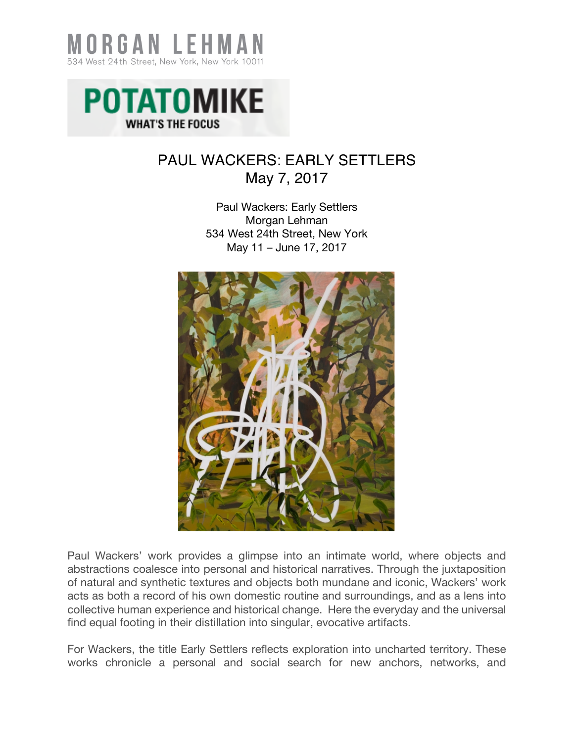



## PAUL WACKERS: EARLY SETTLERS May 7, 2017

Paul Wackers: Early Settlers Morgan Lehman 534 West 24th Street, New York May 11 – June 17, 2017



Paul Wackers' work provides a glimpse into an intimate world, where objects and abstractions coalesce into personal and historical narratives. Through the juxtaposition of natural and synthetic textures and objects both mundane and iconic, Wackers' work acts as both a record of his own domestic routine and surroundings, and as a lens into collective human experience and historical change. Here the everyday and the universal find equal footing in their distillation into singular, evocative artifacts.

For Wackers, the title Early Settlers reflects exploration into uncharted territory. These works chronicle a personal and social search for new anchors, networks, and